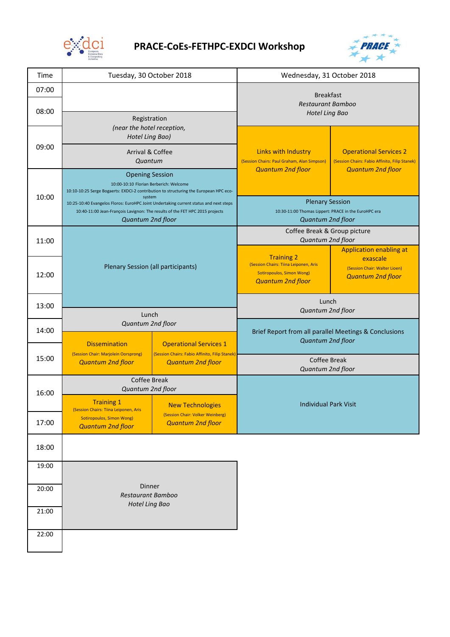

## **PRACE-CoEs-FETHPC-EXDCI Workshop**



| Time           | Tuesday, 30 October 2018                                                                                                                                                                                                                                                                                                                                                 |                                                                                                             | Wednesday, 31 October 2018                                                                                                 |                                                                                                             |
|----------------|--------------------------------------------------------------------------------------------------------------------------------------------------------------------------------------------------------------------------------------------------------------------------------------------------------------------------------------------------------------------------|-------------------------------------------------------------------------------------------------------------|----------------------------------------------------------------------------------------------------------------------------|-------------------------------------------------------------------------------------------------------------|
| 07:00<br>08:00 | Registration<br>(near the hotel reception,<br>Hotel Ling Bao)<br><b>Arrival &amp; Coffee</b><br>Quantum                                                                                                                                                                                                                                                                  |                                                                                                             | <b>Breakfast</b><br><b>Restaurant Bamboo</b><br><b>Hotel Ling Bao</b>                                                      |                                                                                                             |
| 09:00          |                                                                                                                                                                                                                                                                                                                                                                          |                                                                                                             | Links with Industry<br>(Session Chairs: Paul Graham, Alan Simpson)                                                         | <b>Operational Services 2</b><br>(Session Chairs: Fabio Affinito, Filip Stanek)<br><b>Quantum 2nd floor</b> |
| 10:00          | <b>Opening Session</b><br>10:00-10:10 Florian Berberich: Welcome<br>10:10-10:25 Serge Bogaerts: EXDCI-2 contribution to structuring the European HPC eco-<br>system<br>10:25-10:40 Evangelos Floros: EuroHPC Joint Undertaking current status and next steps<br>10:40-11:00 Jean-François Lavignon: The results of the FET HPC 2015 projects<br><b>Quantum 2nd floor</b> |                                                                                                             | <b>Quantum 2nd floor</b>                                                                                                   |                                                                                                             |
|                |                                                                                                                                                                                                                                                                                                                                                                          |                                                                                                             | <b>Plenary Session</b><br>10:30-11:00 Thomas Lippert: PRACE in the EuroHPC era<br><b>Quantum 2nd floor</b>                 |                                                                                                             |
| 11:00          | Plenary Session (all participants)                                                                                                                                                                                                                                                                                                                                       |                                                                                                             | Coffee Break & Group picture<br><b>Quantum 2nd floor</b>                                                                   |                                                                                                             |
| 12:00          |                                                                                                                                                                                                                                                                                                                                                                          |                                                                                                             | <b>Training 2</b><br>(Session Chairs: Tiina Leiponen, Aris<br><b>Sotiropoulos, Simon Wong)</b><br><b>Quantum 2nd floor</b> | Application enabling at<br>exascale<br>(Session Chair: Walter Lioen)<br><b>Quantum 2nd floor</b>            |
| 13:00          |                                                                                                                                                                                                                                                                                                                                                                          |                                                                                                             | Lunch<br>Quantum 2nd floor                                                                                                 |                                                                                                             |
| 14:00          | Lunch<br>Quantum 2nd floor                                                                                                                                                                                                                                                                                                                                               |                                                                                                             | Brief Report from all parallel Meetings & Conclusions                                                                      |                                                                                                             |
| 15:00          | <b>Dissemination</b><br>(Session Chair: Marjolein Oorsprong)<br><b>Quantum 2nd floor</b>                                                                                                                                                                                                                                                                                 | <b>Operational Services 1</b><br>(Session Chairs: Fabio Affinito, Filip Stanek)<br><b>Quantum 2nd floor</b> | <b>Quantum 2nd floor</b><br><b>Coffee Break</b><br><b>Quantum 2nd floor</b>                                                |                                                                                                             |
| 16:00          | <b>Coffee Break</b><br>Quantum 2nd floor<br><b>Training 1</b><br><b>New Technologies</b><br>(Session Chairs: Tiina Leiponen, Aris<br>(Session Chair: Volker Weinberg)<br><b>Sotiropoulos, Simon Wong)</b><br><b>Quantum 2nd floor</b><br><b>Quantum 2nd floor</b>                                                                                                        |                                                                                                             |                                                                                                                            |                                                                                                             |
| 17:00          |                                                                                                                                                                                                                                                                                                                                                                          |                                                                                                             | <b>Individual Park Visit</b>                                                                                               |                                                                                                             |
| 18:00          |                                                                                                                                                                                                                                                                                                                                                                          |                                                                                                             |                                                                                                                            |                                                                                                             |
| 19:00          |                                                                                                                                                                                                                                                                                                                                                                          |                                                                                                             |                                                                                                                            |                                                                                                             |

| 20:00<br>21:00 | <b>Dinner</b><br><b>Restaurant Bamboo</b><br><b>Hotel Ling Bao</b> |
|----------------|--------------------------------------------------------------------|
| 22:00          |                                                                    |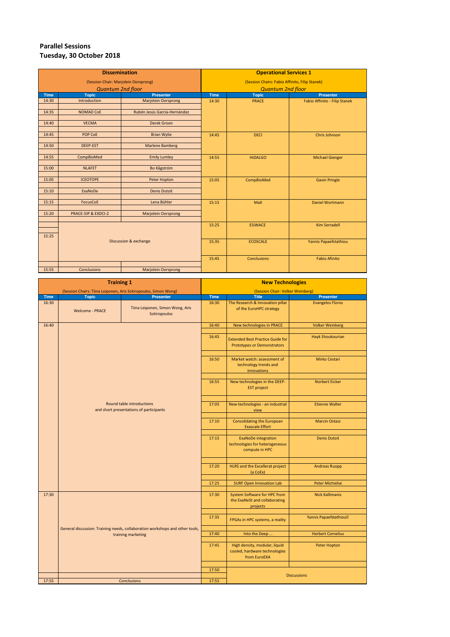## **Parallel Sessions Tuesday, 30 October 2018**

| <b>Dissemination</b>                 |                     |                              | <b>Operational Services 1</b>                  |                      |                               |  |
|--------------------------------------|---------------------|------------------------------|------------------------------------------------|----------------------|-------------------------------|--|
| (Session Chair: Marjolein Oorsprong) |                     |                              | (Session Chairs: Fabio Affinito, Filip Stanek) |                      |                               |  |
| <b>Quantum 2nd floor</b>             |                     |                              | <b>Quantum 2nd floor</b>                       |                      |                               |  |
| <b>Time</b>                          | <b>Topic</b>        | <b>Presenter</b>             | <b>Time</b>                                    | <b>Topic</b>         | <b>Presenter</b>              |  |
| 14:30                                | Introduction        | <b>Marjolein Oorsprong</b>   | 14:30                                          | <b>PRACE</b>         | Fabio Affinito - Filip Stanek |  |
|                                      |                     |                              |                                                |                      |                               |  |
| 14:35                                | <b>NOMAD CoE</b>    | Rubén Jesús García-Hernández |                                                |                      |                               |  |
|                                      |                     |                              |                                                |                      |                               |  |
| 14:40                                | <b>VECMA</b>        | <b>Derek Groen</b>           |                                                |                      |                               |  |
| 14:45                                | POP CoE             | <b>Brian Wylie</b>           | 14:45                                          | <b>DECI</b>          | <b>Chris Johnson</b>          |  |
|                                      |                     |                              |                                                |                      |                               |  |
| 14:50                                | DEEP-EST            | <b>Marlene Bamberg</b>       |                                                |                      |                               |  |
|                                      |                     |                              |                                                |                      |                               |  |
| 14:55                                | CompBioMed          | <b>Emily Lumley</b>          | 14:55                                          | <b>HiDALGO</b>       | <b>Michael Gienger</b>        |  |
| 15:00                                | <b>NLAFET</b>       | Bo Kågström                  |                                                |                      |                               |  |
|                                      |                     |                              |                                                |                      |                               |  |
| 15:05                                | <b>ICEOTOPE</b>     | Peter Hopton                 | 15:05                                          | CompBioMed           | <b>Gavin Pringle</b>          |  |
|                                      |                     |                              |                                                |                      |                               |  |
| 15:10                                | ExaNoDe             | <b>Denis Dutoit</b>          |                                                |                      |                               |  |
|                                      |                     |                              |                                                |                      |                               |  |
| 15:15                                | FocusCoE            | Lena Bühler                  | 15:15                                          | MaX                  | Daniel Wortmann               |  |
| 15:20                                | PRACE-5IP & EXDCI-2 | <b>Marjolein Oorsprong</b>   |                                                |                      |                               |  |
|                                      |                     |                              |                                                |                      |                               |  |
|                                      | 15:25               |                              | 15:25                                          | <b>ESiWACE</b>       | <b>Kim Serradell</b>          |  |
|                                      |                     |                              |                                                |                      |                               |  |
|                                      |                     |                              |                                                |                      |                               |  |
| Discussion & exchange                |                     |                              | 15:35                                          | <b>ECOSCALE</b>      | Yannis Papaefstathiou         |  |
|                                      |                     |                              |                                                |                      |                               |  |
|                                      |                     | 15:45                        | <b>Conclusions</b>                             | <b>Fabio Afinito</b> |                               |  |
|                                      |                     |                              |                                                |                      |                               |  |
| 15:55                                | <b>Conclusions</b>  | <b>Marjolein Oorsprong</b>   |                                                |                      |                               |  |

| <b>Training 1</b> |                                                                                                    |                                                  | <b>New Technologies</b>          |                                                                                |                          |
|-------------------|----------------------------------------------------------------------------------------------------|--------------------------------------------------|----------------------------------|--------------------------------------------------------------------------------|--------------------------|
|                   | (Session Chairs: Tiina Leiponen, Aris Sotiropoulos, Simon Wong)                                    |                                                  | (Session Chair: Volker Weinberg) |                                                                                |                          |
| <b>Time</b>       | <b>Topic</b>                                                                                       | <b>Presenter</b>                                 | <b>Time</b>                      | <b>Title</b>                                                                   | <b>Presenter</b>         |
| 16:30             | <b>Welcome - PRACE</b>                                                                             | Tiina Leiponen, Simon Wong, Aris<br>Sotiropoulos | 16:30                            | The Research & Innovation pillar<br>of the EuroHPC strategy                    | <b>Evangelos Floros</b>  |
| 16:40             |                                                                                                    |                                                  | 16:40                            | New technologies in PRACE                                                      | <b>Volker Weinberg</b>   |
|                   |                                                                                                    |                                                  | 16:45                            | <b>Extended Best Practice Guide for</b><br><b>Prototypes or Demonstrators</b>  | <b>Hayk Shoukourian</b>  |
|                   | Round table introductions<br>and short presentations of participants                               |                                                  |                                  | Market watch: assessment of<br>technology trends and<br>innovations            | Mirko Cestari            |
|                   |                                                                                                    |                                                  |                                  | New technologies in the DEEP-<br><b>EST project</b>                            | <b>Norbert Eicker</b>    |
|                   |                                                                                                    |                                                  |                                  | New technologies - an industrial<br>view                                       | <b>Etienne Walter</b>    |
|                   |                                                                                                    |                                                  |                                  | <b>Consolidating the European</b><br><b>Exascale Effort</b>                    | <b>Marcin Ostasz</b>     |
|                   |                                                                                                    |                                                  |                                  | <b>ExaNoDe integration</b><br>technologies for heterogeneous<br>compute in HPC | <b>Denis Dutoit</b>      |
|                   |                                                                                                    |                                                  | 17:20                            | <b>HLRS and the Excellerat project</b><br>(a CoEx)                             | <b>Andreas Ruopp</b>     |
|                   |                                                                                                    |                                                  | 17:25                            | <b>SURF Open Innovation Lab</b>                                                | <b>Peter Michielse</b>   |
| 17:30             | General discussion: Training needs, collaboration workshops and other tools,<br>training marketing |                                                  | 17:30                            | System Software for HPC from<br>the ExaNeSt and collaborating<br>projects      | <b>Nick Kallimanis</b>   |
|                   |                                                                                                    |                                                  | 17:35                            | FPGAs in HPC systems, a reality                                                | Yannis Papaefstathiou?   |
|                   |                                                                                                    |                                                  | 17:40                            | Into the Deep                                                                  | <b>Herbert Cornelius</b> |
|                   |                                                                                                    |                                                  | 17:45                            | High density, modular, liquid<br>cooled, hardware technologies<br>from EuroEXA | <b>Peter Hopton</b>      |
|                   |                                                                                                    |                                                  |                                  |                                                                                |                          |
|                   |                                                                                                    |                                                  | 17:50                            |                                                                                | <b>Discussions</b>       |
| 17:55             |                                                                                                    | <b>Conclusions</b>                               | 17:55                            |                                                                                |                          |